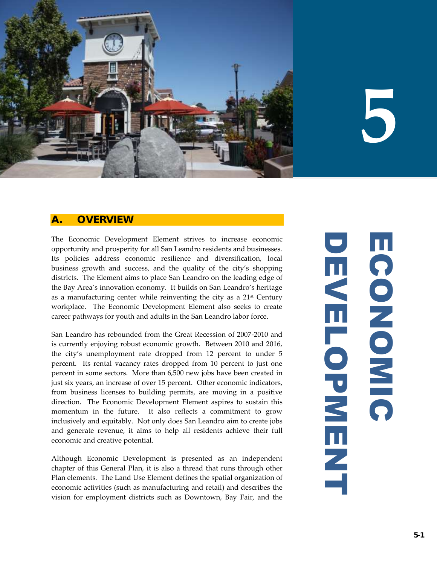

# **5**

# **A. OVERVIEW**

The Economic Development Element strives to increase economic opportunity and prosperity for all San Leandro residents and businesses. Its policies address economic resilience and diversification, local business growth and success, and the quality of the city's shopping districts. The Element aims to place San Leandro on the leading edge of the Bay Area's innovation economy. It builds on San Leandro's heritage as a manufacturing center while reinventing the city as a  $21<sup>st</sup>$  Century workplace. The Economic Development Element also seeks to create career pathways for youth and adults in the San Leandro labor force.

San Leandro has rebounded from the Great Recession of 2007-2010 and is currently enjoying robust economic growth. Between 2010 and 2016, the city's unemployment rate dropped from 12 percent to under 5 percent. Its rental vacancy rates dropped from 10 percent to just one percent in some sectors. More than 6,500 new jobs have been created in just six years, an increase of over 15 percent. Other economic indicators, from business licenses to building permits, are moving in a positive direction. The Economic Development Element aspires to sustain this momentum in the future. It also reflects a commitment to grow inclusively and equitably. Not only does San Leandro aim to create jobs and generate revenue, it aims to help all residents achieve their full economic and creative potential.

Although Economic Development is presented as an independent chapter of this General Plan, it is also a thread that runs through other Plan elements. The Land Use Element defines the spatial organization of economic activities (such as manufacturing and retail) and describes the vision for employment districts such as Downtown, Bay Fair, and the

DEVELOPMENT ECONOMIC Ш CONONIC  $\mathbf{u}$ **NELOPNENT**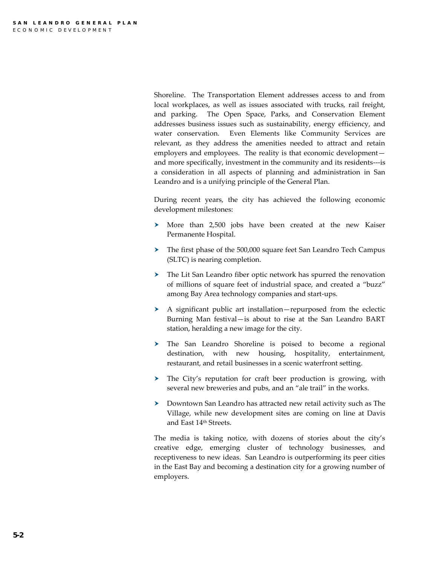Shoreline. The Transportation Element addresses access to and from local workplaces, as well as issues associated with trucks, rail freight, and parking. The Open Space, Parks, and Conservation Element addresses business issues such as sustainability, energy efficiency, and water conservation. Even Elements like Community Services are relevant, as they address the amenities needed to attract and retain employers and employees. The reality is that economic development and more specifically, investment in the community and its residents---is a consideration in all aspects of planning and administration in San Leandro and is a unifying principle of the General Plan.

During recent years, the city has achieved the following economic development milestones:

- More than 2,500 jobs have been created at the new Kaiser Permanente Hospital.
- The first phase of the 500,000 square feet San Leandro Tech Campus (SLTC) is nearing completion.
- The Lit San Leandro fiber optic network has spurred the renovation of millions of square feet of industrial space, and created a "buzz" among Bay Area technology companies and start-ups.
- A significant public art installation—repurposed from the eclectic Burning Man festival—is about to rise at the San Leandro BART station, heralding a new image for the city.
- The San Leandro Shoreline is poised to become a regional destination, with new housing, hospitality, entertainment, restaurant, and retail businesses in a scenic waterfront setting.
- The City's reputation for craft beer production is growing, with several new breweries and pubs, and an "ale trail" in the works.
- Downtown San Leandro has attracted new retail activity such as The Village, while new development sites are coming on line at Davis and East 14<sup>th</sup> Streets.

The media is taking notice, with dozens of stories about the city's creative edge, emerging cluster of technology businesses, and receptiveness to new ideas. San Leandro is outperforming its peer cities in the East Bay and becoming a destination city for a growing number of employers.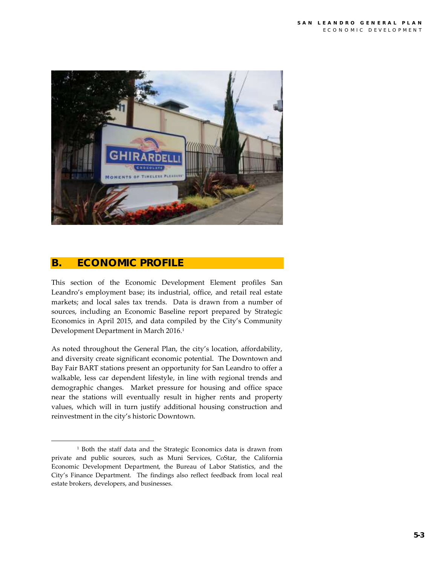

## **B. ECONOMIC PROFILE**

 $\overline{a}$ 

This section of the Economic Development Element profiles San Leandro's employment base; its industrial, office, and retail real estate markets; and local sales tax trends. Data is drawn from a number of sources, including an Economic Baseline report prepared by Strategic Economics in April 2015, and data compiled by the City's Community Development Department in March 2016.<sup>1</sup>

As noted throughout the General Plan, the city's location, affordability, and diversity create significant economic potential. The Downtown and Bay Fair BART stations present an opportunity for San Leandro to offer a walkable, less car dependent lifestyle, in line with regional trends and demographic changes. Market pressure for housing and office space near the stations will eventually result in higher rents and property values, which will in turn justify additional housing construction and reinvestment in the city's historic Downtown.

<sup>1</sup> Both the staff data and the Strategic Economics data is drawn from private and public sources, such as Muni Services, CoStar, the California Economic Development Department, the Bureau of Labor Statistics, and the City's Finance Department. The findings also reflect feedback from local real estate brokers, developers, and businesses.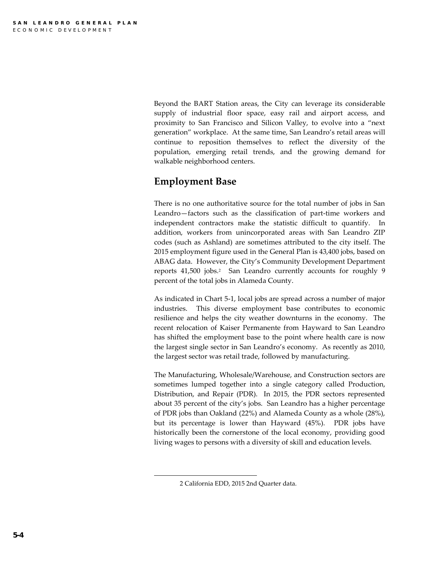Beyond the BART Station areas, the City can leverage its considerable supply of industrial floor space, easy rail and airport access, and proximity to San Francisco and Silicon Valley, to evolve into a "next generation" workplace. At the same time, San Leandro's retail areas will continue to reposition themselves to reflect the diversity of the population, emerging retail trends, and the growing demand for walkable neighborhood centers.

# **Employment Base**

There is no one authoritative source for the total number of jobs in San Leandro—factors such as the classification of part-time workers and independent contractors make the statistic difficult to quantify. In addition, workers from unincorporated areas with San Leandro ZIP codes (such as Ashland) are sometimes attributed to the city itself. The 2015 employment figure used in the General Plan is 43,400 jobs, based on ABAG data. However, the City's Community Development Department reports 41,500 jobs.<sup>2</sup> San Leandro currently accounts for roughly 9 percent of the total jobs in Alameda County.

As indicated in Chart 5-1, local jobs are spread across a number of major industries. This diverse employment base contributes to economic resilience and helps the city weather downturns in the economy. The recent relocation of Kaiser Permanente from Hayward to San Leandro has shifted the employment base to the point where health care is now the largest single sector in San Leandro's economy. As recently as 2010, the largest sector was retail trade, followed by manufacturing.

The Manufacturing, Wholesale/Warehouse, and Construction sectors are sometimes lumped together into a single category called Production, Distribution, and Repair (PDR). In 2015, the PDR sectors represented about 35 percent of the city's jobs. San Leandro has a higher percentage of PDR jobs than Oakland (22%) and Alameda County as a whole (28%), but its percentage is lower than Hayward (45%). PDR jobs have historically been the cornerstone of the local economy, providing good living wages to persons with a diversity of skill and education levels.

 $\overline{a}$ 

<sup>2</sup> California EDD, 2015 2nd Quarter data.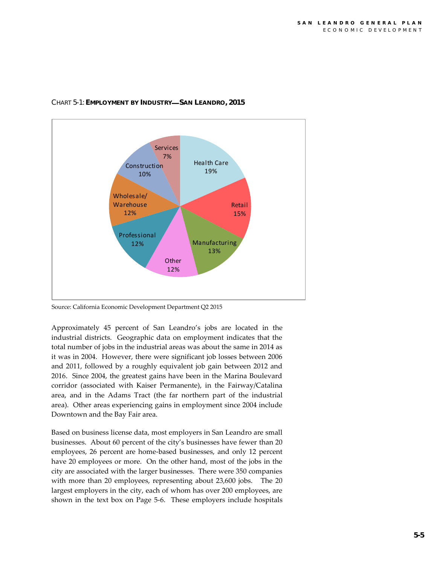

#### CHART 5-1: **EMPLOYMENT BY INDUSTRY SAN LEANDRO, 2015**

Source: California Economic Development Department Q2 2015

Approximately 45 percent of San Leandro's jobs are located in the industrial districts. Geographic data on employment indicates that the total number of jobs in the industrial areas was about the same in 2014 as it was in 2004. However, there were significant job losses between 2006 and 2011, followed by a roughly equivalent job gain between 2012 and 2016. Since 2004, the greatest gains have been in the Marina Boulevard corridor (associated with Kaiser Permanente), in the Fairway/Catalina area, and in the Adams Tract (the far northern part of the industrial area). Other areas experiencing gains in employment since 2004 include Downtown and the Bay Fair area.

Based on business license data, most employers in San Leandro are small businesses. About 60 percent of the city's businesses have fewer than 20 employees, 26 percent are home-based businesses, and only 12 percent have 20 employees or more. On the other hand, most of the jobs in the city are associated with the larger businesses. There were 350 companies with more than 20 employees, representing about 23,600 jobs. The 20 largest employers in the city, each of whom has over 200 employees, are shown in the text box on Page 5-6. These employers include hospitals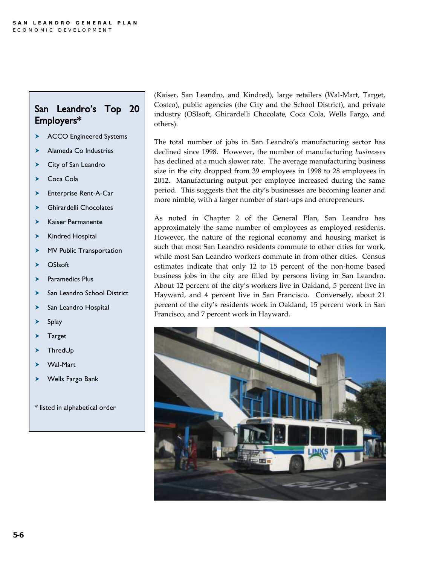# San Leandro's Top 20 Employers\*

- > ACCO Engineered Systems
- > Alameda Co Industries
- > City of San Leandro
- ▶ Coca Cola
- Enterprise Rent-A-Car
- Ghirardelli Chocolates
- $\blacktriangleright$  Kaiser Permanente
- $\blacktriangleright$  Kindred Hospital
- > MV Public Transportation
- $\sum$  OSIsoft
- > Paramedics Plus
- > San Leandro School District
- > San Leandro Hospital
- $\blacktriangleright$  Splay
- > Target
- > ThredUp
- Wal-Mart
- Wells Fargo Bank
- \* listed in alphabetical order

(Kaiser, San Leandro, and Kindred), large retailers (Wal-Mart, Target, Costco), public agencies (the City and the School District), and private industry (OSIsoft, Ghirardelli Chocolate, Coca Cola, Wells Fargo, and others).

The total number of jobs in San Leandro's manufacturing sector has declined since 1998. However, the number of manufacturing *businesses*  has declined at a much slower rate. The average manufacturing business size in the city dropped from 39 employees in 1998 to 28 employees in 2012. Manufacturing output per employee increased during the same period. This suggests that the city's businesses are becoming leaner and more nimble, with a larger number of start-ups and entrepreneurs.

As noted in Chapter 2 of the General Plan, San Leandro has approximately the same number of employees as employed residents. However, the nature of the regional economy and housing market is such that most San Leandro residents commute to other cities for work, while most San Leandro workers commute in from other cities. Census estimates indicate that only 12 to 15 percent of the non-home based business jobs in the city are filled by persons living in San Leandro. About 12 percent of the city's workers live in Oakland, 5 percent live in Hayward, and 4 percent live in San Francisco. Conversely, about 21 percent of the city's residents work in Oakland, 15 percent work in San Francisco, and 7 percent work in Hayward.

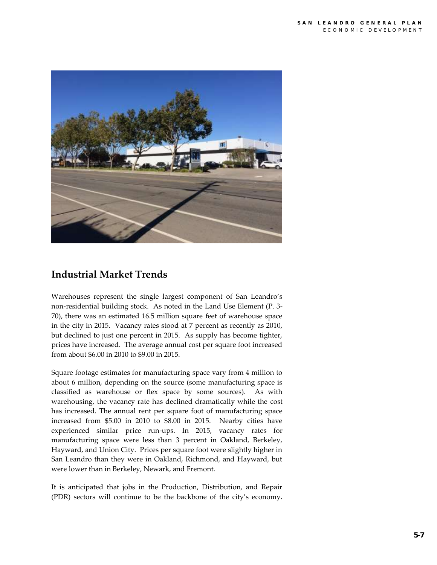

# **Industrial Market Trends**

Warehouses represent the single largest component of San Leandro's non-residential building stock. As noted in the Land Use Element (P. 3- 70), there was an estimated 16.5 million square feet of warehouse space in the city in 2015. Vacancy rates stood at 7 percent as recently as 2010, but declined to just one percent in 2015. As supply has become tighter, prices have increased. The average annual cost per square foot increased from about \$6.00 in 2010 to \$9.00 in 2015.

Square footage estimates for manufacturing space vary from 4 million to about 6 million, depending on the source (some manufacturing space is classified as warehouse or flex space by some sources). As with warehousing, the vacancy rate has declined dramatically while the cost has increased. The annual rent per square foot of manufacturing space increased from \$5.00 in 2010 to \$8.00 in 2015. Nearby cities have experienced similar price run-ups. In 2015, vacancy rates for manufacturing space were less than 3 percent in Oakland, Berkeley, Hayward, and Union City. Prices per square foot were slightly higher in San Leandro than they were in Oakland, Richmond, and Hayward, but were lower than in Berkeley, Newark, and Fremont.

It is anticipated that jobs in the Production, Distribution, and Repair (PDR) sectors will continue to be the backbone of the city's economy.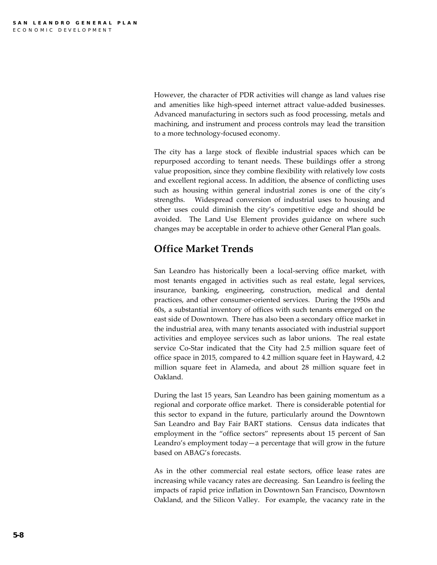However, the character of PDR activities will change as land values rise and amenities like high-speed internet attract value-added businesses. Advanced manufacturing in sectors such as food processing, metals and machining, and instrument and process controls may lead the transition to a more technology-focused economy.

The city has a large stock of flexible industrial spaces which can be repurposed according to tenant needs. These buildings offer a strong value proposition, since they combine flexibility with relatively low costs and excellent regional access. In addition, the absence of conflicting uses such as housing within general industrial zones is one of the city's strengths. Widespread conversion of industrial uses to housing and other uses could diminish the city's competitive edge and should be avoided. The Land Use Element provides guidance on where such changes may be acceptable in order to achieve other General Plan goals.

# **Office Market Trends**

San Leandro has historically been a local-serving office market, with most tenants engaged in activities such as real estate, legal services, insurance, banking, engineering, construction, medical and dental practices, and other consumer-oriented services. During the 1950s and 60s, a substantial inventory of offices with such tenants emerged on the east side of Downtown. There has also been a secondary office market in the industrial area, with many tenants associated with industrial support activities and employee services such as labor unions. The real estate service Co-Star indicated that the City had 2.5 million square feet of office space in 2015, compared to 4.2 million square feet in Hayward, 4.2 million square feet in Alameda, and about 28 million square feet in Oakland.

During the last 15 years, San Leandro has been gaining momentum as a regional and corporate office market. There is considerable potential for this sector to expand in the future, particularly around the Downtown San Leandro and Bay Fair BART stations. Census data indicates that employment in the "office sectors" represents about 15 percent of San Leandro's employment today—a percentage that will grow in the future based on ABAG's forecasts.

As in the other commercial real estate sectors, office lease rates are increasing while vacancy rates are decreasing. San Leandro is feeling the impacts of rapid price inflation in Downtown San Francisco, Downtown Oakland, and the Silicon Valley. For example, the vacancy rate in the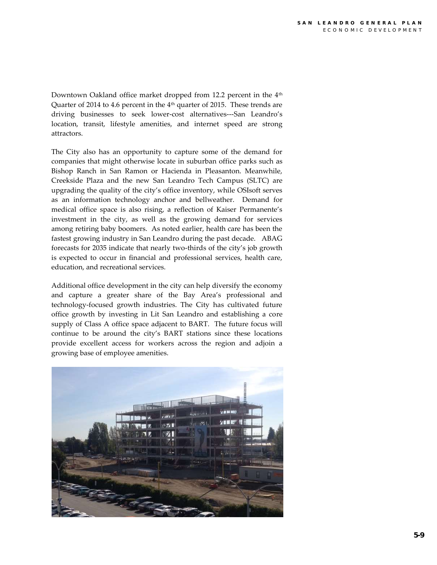Downtown Oakland office market dropped from 12.2 percent in the 4<sup>th</sup> Quarter of 2014 to 4.6 percent in the 4<sup>th</sup> quarter of 2015. These trends are driving businesses to seek lower-cost alternatives---San Leandro's location, transit, lifestyle amenities, and internet speed are strong attractors.

The City also has an opportunity to capture some of the demand for companies that might otherwise locate in suburban office parks such as Bishop Ranch in San Ramon or Hacienda in Pleasanton. Meanwhile, Creekside Plaza and the new San Leandro Tech Campus (SLTC) are upgrading the quality of the city's office inventory, while OSIsoft serves as an information technology anchor and bellweather. Demand for medical office space is also rising, a reflection of Kaiser Permanente's investment in the city, as well as the growing demand for services among retiring baby boomers. As noted earlier, health care has been the fastest growing industry in San Leandro during the past decade. ABAG forecasts for 2035 indicate that nearly two-thirds of the city's job growth is expected to occur in financial and professional services, health care, education, and recreational services.

Additional office development in the city can help diversify the economy and capture a greater share of the Bay Area's professional and technology-focused growth industries. The City has cultivated future office growth by investing in Lit San Leandro and establishing a core supply of Class A office space adjacent to BART. The future focus will continue to be around the city's BART stations since these locations provide excellent access for workers across the region and adjoin a growing base of employee amenities.

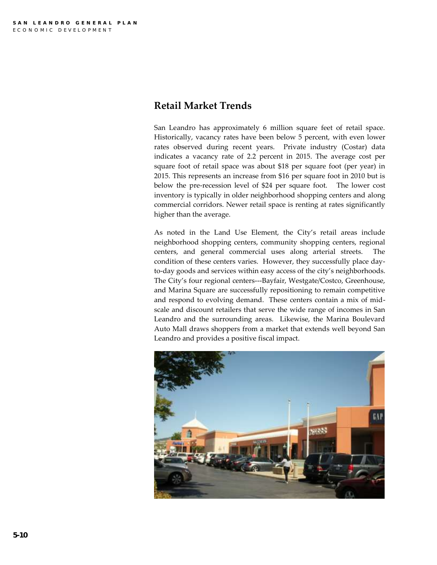## **Retail Market Trends**

San Leandro has approximately 6 million square feet of retail space. Historically, vacancy rates have been below 5 percent, with even lower rates observed during recent years. Private industry (Costar) data indicates a vacancy rate of 2.2 percent in 2015. The average cost per square foot of retail space was about \$18 per square foot (per year) in 2015. This represents an increase from \$16 per square foot in 2010 but is below the pre-recession level of \$24 per square foot. The lower cost inventory is typically in older neighborhood shopping centers and along commercial corridors. Newer retail space is renting at rates significantly higher than the average.

As noted in the Land Use Element, the City's retail areas include neighborhood shopping centers, community shopping centers, regional centers, and general commercial uses along arterial streets. The condition of these centers varies. However, they successfully place dayto-day goods and services within easy access of the city's neighborhoods. The City's four regional centers---Bayfair, Westgate/Costco, Greenhouse, and Marina Square are successfully repositioning to remain competitive and respond to evolving demand. These centers contain a mix of midscale and discount retailers that serve the wide range of incomes in San Leandro and the surrounding areas. Likewise, the Marina Boulevard Auto Mall draws shoppers from a market that extends well beyond San Leandro and provides a positive fiscal impact.

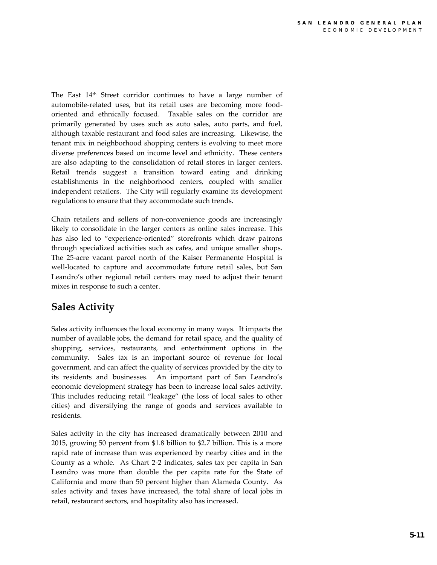The East  $14<sup>th</sup>$  Street corridor continues to have a large number of automobile-related uses, but its retail uses are becoming more foodoriented and ethnically focused. Taxable sales on the corridor are primarily generated by uses such as auto sales, auto parts, and fuel, although taxable restaurant and food sales are increasing. Likewise, the tenant mix in neighborhood shopping centers is evolving to meet more diverse preferences based on income level and ethnicity. These centers are also adapting to the consolidation of retail stores in larger centers. Retail trends suggest a transition toward eating and drinking establishments in the neighborhood centers, coupled with smaller independent retailers. The City will regularly examine its development regulations to ensure that they accommodate such trends.

Chain retailers and sellers of non-convenience goods are increasingly likely to consolidate in the larger centers as online sales increase. This has also led to "experience-oriented" storefronts which draw patrons through specialized activities such as cafes, and unique smaller shops. The 25-acre vacant parcel north of the Kaiser Permanente Hospital is well-located to capture and accommodate future retail sales, but San Leandro's other regional retail centers may need to adjust their tenant mixes in response to such a center.

# **Sales Activity**

Sales activity influences the local economy in many ways. It impacts the number of available jobs, the demand for retail space, and the quality of shopping, services, restaurants, and entertainment options in the community. Sales tax is an important source of revenue for local government, and can affect the quality of services provided by the city to its residents and businesses. An important part of San Leandro's economic development strategy has been to increase local sales activity. This includes reducing retail "leakage" (the loss of local sales to other cities) and diversifying the range of goods and services available to residents.

Sales activity in the city has increased dramatically between 2010 and 2015, growing 50 percent from \$1.8 billion to \$2.7 billion. This is a more rapid rate of increase than was experienced by nearby cities and in the County as a whole. As Chart 2-2 indicates, sales tax per capita in San Leandro was more than double the per capita rate for the State of California and more than 50 percent higher than Alameda County. As sales activity and taxes have increased, the total share of local jobs in retail, restaurant sectors, and hospitality also has increased.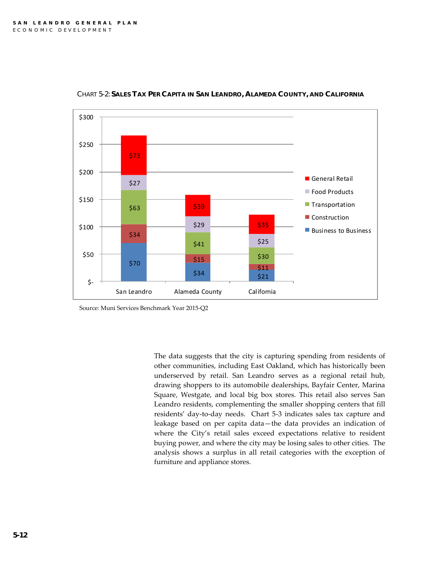

CHART 5-2: SALES TAX PER CAPITA IN SAN LEANDRO, ALAMEDA COUNTY, AND CALIFORNIA

The data suggests that the city is capturing spending from residents of other communities, including East Oakland, which has historically been underserved by retail. San Leandro serves as a regional retail hub, drawing shoppers to its automobile dealerships, Bayfair Center, Marina Square, Westgate, and local big box stores. This retail also serves San Leandro residents, complementing the smaller shopping centers that fill residents' day-to-day needs. Chart 5-3 indicates sales tax capture and leakage based on per capita data—the data provides an indication of where the City's retail sales exceed expectations relative to resident buying power, and where the city may be losing sales to other cities. The analysis shows a surplus in all retail categories with the exception of furniture and appliance stores.

Source: Muni Services Benchmark Year 2015-Q2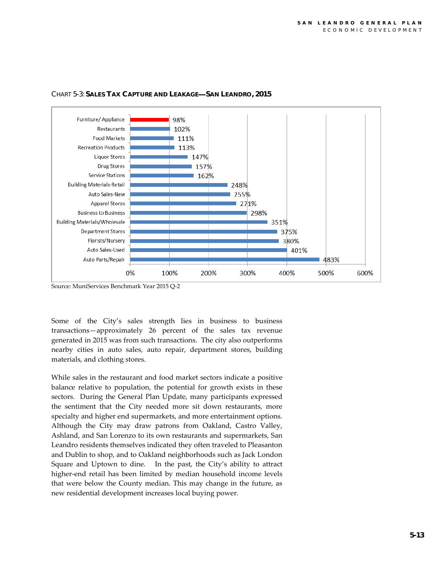

#### CHART 5-3: **SALES TAX CAPTURE AND LEAKAGE SAN LEANDRO, 2015**

Source: MuniServices Benchmark Year 2015 Q-2

Some of the City's sales strength lies in business to business transactions—approximately 26 percent of the sales tax revenue generated in 2015 was from such transactions. The city also outperforms nearby cities in auto sales, auto repair, department stores, building materials, and clothing stores.

While sales in the restaurant and food market sectors indicate a positive balance relative to population, the potential for growth exists in these sectors. During the General Plan Update, many participants expressed the sentiment that the City needed more sit down restaurants, more specialty and higher end supermarkets, and more entertainment options. Although the City may draw patrons from Oakland, Castro Valley, Ashland, and San Lorenzo to its own restaurants and supermarkets, San Leandro residents themselves indicated they often traveled to Pleasanton and Dublin to shop, and to Oakland neighborhoods such as Jack London Square and Uptown to dine. In the past, the City's ability to attract higher-end retail has been limited by median household income levels that were below the County median. This may change in the future, as new residential development increases local buying power.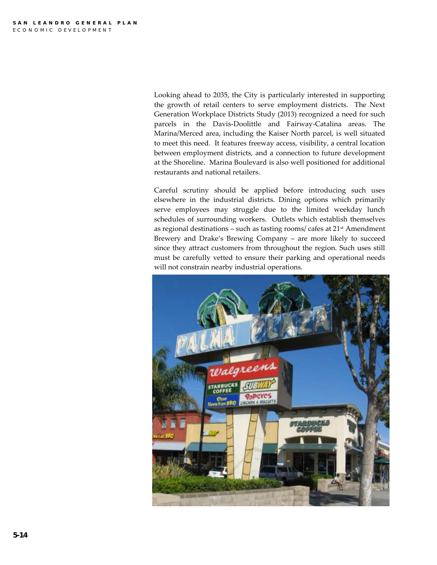Looking ahead to 2035, the City is particularly interested in supporting the growth of retail centers to serve employment districts. The Next Generation Workplace Districts Study (2013) recognized a need for such parcels in the Davis-Doolittle and Fairway-Catalina areas. The Marina/Merced area, including the Kaiser North parcel, is well situated to meet this need. It features freeway access, visibility, a central location between employment districts, and a connection to future development at the Shoreline. Marina Boulevard is also well positioned for additional restaurants and national retailers.

Careful scrutiny should be applied before introducing such uses elsewhere in the industrial districts. Dining options which primarily serve employees may struggle due to the limited weekday lunch schedules of surrounding workers. Outlets which establish themselves as regional destinations – such as tasting rooms/ cafes at  $21<sup>st</sup>$  Amendment Brewery and Drake's Brewing Company – are more likely to succeed since they attract customers from throughout the region. Such uses still must be carefully vetted to ensure their parking and operational needs will not constrain nearby industrial operations.

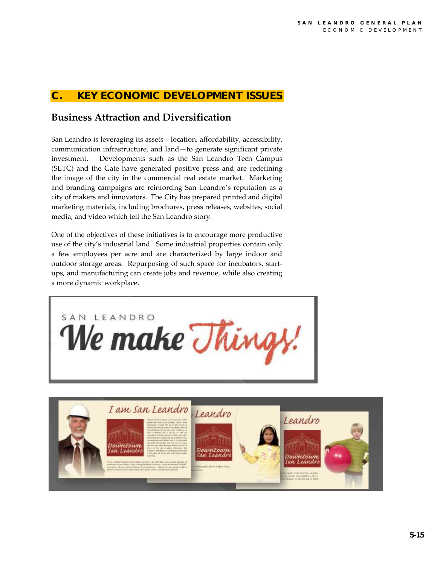## **KEY ECONOMIC DEVELOPMEN**

# **Business Attraction and Diversification**

San Leandro is leveraging its assets—location, affordability, accessibility, communication infrastructure, and land—to generate significant private investment. Developments such as the San Leandro Tech Campus (SLTC) and the Gate have generated positive press and are redefining the image of the city in the commercial real estate market. Marketing and branding campaigns are reinforcing San Leandro's reputation as a city of makers and innovators. The City has prepared printed and digital marketing materials, including brochures, press releases, websites, social media, and video which tell the San Leandro story.

One of the objectives of these initiatives is to encourage more productive use of the city's industrial land. Some industrial properties contain only a few employees per acre and are characterized by large indoor and outdoor storage areas. Repurposing of such space for incubators, startups, and manufacturing can create jobs and revenue, while also creating a more dynamic workplace.



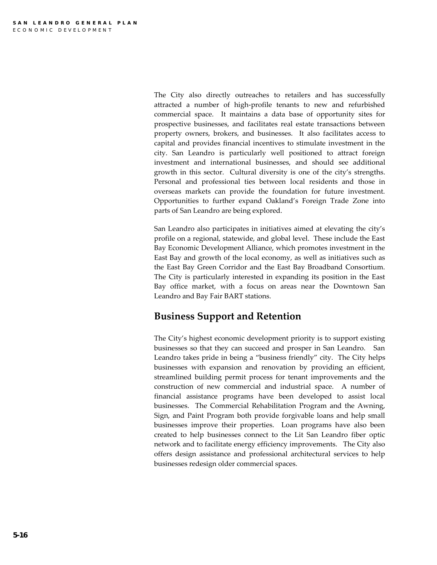The City also directly outreaches to retailers and has successfully attracted a number of high-profile tenants to new and refurbished commercial space. It maintains a data base of opportunity sites for prospective businesses, and facilitates real estate transactions between property owners, brokers, and businesses. It also facilitates access to capital and provides financial incentives to stimulate investment in the city. San Leandro is particularly well positioned to attract foreign investment and international businesses, and should see additional growth in this sector. Cultural diversity is one of the city's strengths. Personal and professional ties between local residents and those in overseas markets can provide the foundation for future investment. Opportunities to further expand Oakland's Foreign Trade Zone into parts of San Leandro are being explored.

San Leandro also participates in initiatives aimed at elevating the city's profile on a regional, statewide, and global level. These include the East Bay Economic Development Alliance, which promotes investment in the East Bay and growth of the local economy, as well as initiatives such as the East Bay Green Corridor and the East Bay Broadband Consortium. The City is particularly interested in expanding its position in the East Bay office market, with a focus on areas near the Downtown San Leandro and Bay Fair BART stations.

## **Business Support and Retention**

The City's highest economic development priority is to support existing businesses so that they can succeed and prosper in San Leandro. San Leandro takes pride in being a "business friendly" city. The City helps businesses with expansion and renovation by providing an efficient, streamlined building permit process for tenant improvements and the construction of new commercial and industrial space. A number of financial assistance programs have been developed to assist local businesses. The Commercial Rehabilitation Program and the Awning, Sign, and Paint Program both provide forgivable loans and help small businesses improve their properties. Loan programs have also been created to help businesses connect to the Lit San Leandro fiber optic network and to facilitate energy efficiency improvements. The City also offers design assistance and professional architectural services to help businesses redesign older commercial spaces.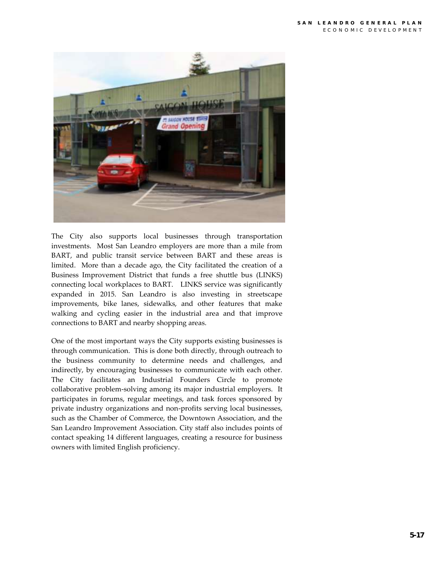

The City also supports local businesses through transportation investments. Most San Leandro employers are more than a mile from BART, and public transit service between BART and these areas is limited. More than a decade ago, the City facilitated the creation of a Business Improvement District that funds a free shuttle bus (LINKS) connecting local workplaces to BART. LINKS service was significantly expanded in 2015. San Leandro is also investing in streetscape improvements, bike lanes, sidewalks, and other features that make walking and cycling easier in the industrial area and that improve connections to BART and nearby shopping areas.

One of the most important ways the City supports existing businesses is through communication. This is done both directly, through outreach to the business community to determine needs and challenges, and indirectly, by encouraging businesses to communicate with each other. The City facilitates an Industrial Founders Circle to promote collaborative problem-solving among its major industrial employers. It participates in forums, regular meetings, and task forces sponsored by private industry organizations and non-profits serving local businesses, such as the Chamber of Commerce, the Downtown Association, and the San Leandro Improvement Association. City staff also includes points of contact speaking 14 different languages, creating a resource for business owners with limited English proficiency.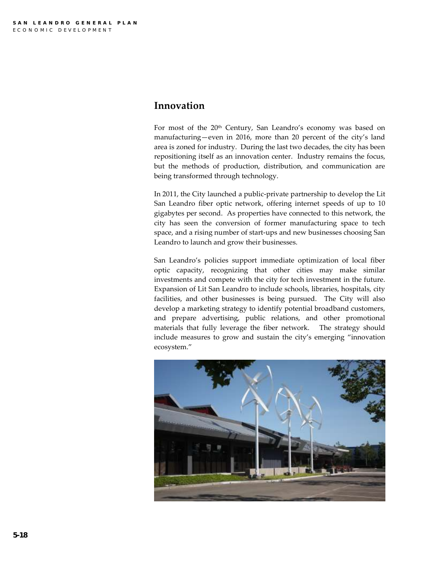## **Innovation**

For most of the 20<sup>th</sup> Century, San Leandro's economy was based on manufacturing—even in 2016, more than 20 percent of the city's land area is zoned for industry. During the last two decades, the city has been repositioning itself as an innovation center. Industry remains the focus, but the methods of production, distribution, and communication are being transformed through technology.

In 2011, the City launched a public-private partnership to develop the Lit San Leandro fiber optic network, offering internet speeds of up to 10 gigabytes per second. As properties have connected to this network, the city has seen the conversion of former manufacturing space to tech space, and a rising number of start-ups and new businesses choosing San Leandro to launch and grow their businesses.

San Leandro's policies support immediate optimization of local fiber optic capacity, recognizing that other cities may make similar investments and compete with the city for tech investment in the future. Expansion of Lit San Leandro to include schools, libraries, hospitals, city facilities, and other businesses is being pursued. The City will also develop a marketing strategy to identify potential broadband customers, and prepare advertising, public relations, and other promotional materials that fully leverage the fiber network. The strategy should include measures to grow and sustain the city's emerging "innovation ecosystem."

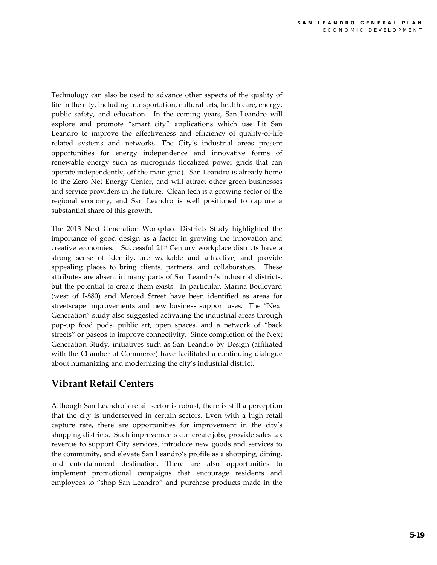Technology can also be used to advance other aspects of the quality of life in the city, including transportation, cultural arts, health care, energy, public safety, and education. In the coming years, San Leandro will explore and promote "smart city" applications which use Lit San Leandro to improve the effectiveness and efficiency of quality-of-life related systems and networks. The City's industrial areas present opportunities for energy independence and innovative forms of renewable energy such as microgrids (localized power grids that can operate independently, off the main grid). San Leandro is already home to the Zero Net Energy Center, and will attract other green businesses and service providers in the future. Clean tech is a growing sector of the regional economy, and San Leandro is well positioned to capture a substantial share of this growth.

The 2013 Next Generation Workplace Districts Study highlighted the importance of good design as a factor in growing the innovation and creative economies. Successful 21st Century workplace districts have a strong sense of identity, are walkable and attractive, and provide appealing places to bring clients, partners, and collaborators. These attributes are absent in many parts of San Leandro's industrial districts, but the potential to create them exists. In particular, Marina Boulevard (west of I-880) and Merced Street have been identified as areas for streetscape improvements and new business support uses. The "Next Generation" study also suggested activating the industrial areas through pop-up food pods, public art, open spaces, and a network of "back streets" or paseos to improve connectivity. Since completion of the Next Generation Study, initiatives such as San Leandro by Design (affiliated with the Chamber of Commerce) have facilitated a continuing dialogue about humanizing and modernizing the city's industrial district.

# **Vibrant Retail Centers**

Although San Leandro's retail sector is robust, there is still a perception that the city is underserved in certain sectors. Even with a high retail capture rate, there are opportunities for improvement in the city's shopping districts. Such improvements can create jobs, provide sales tax revenue to support City services, introduce new goods and services to the community, and elevate San Leandro's profile as a shopping, dining, and entertainment destination. There are also opportunities to implement promotional campaigns that encourage residents and employees to "shop San Leandro" and purchase products made in the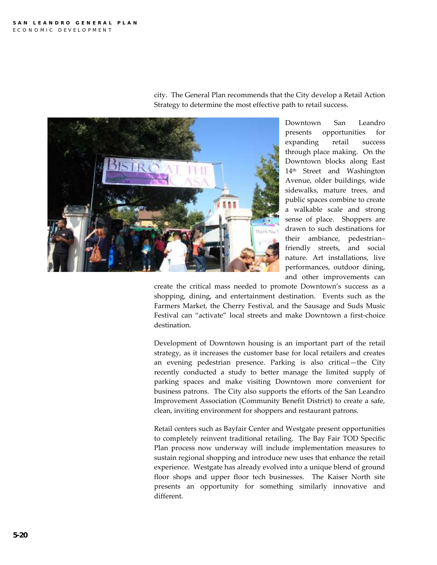

city. The General Plan recommends that the City develop a Retail Action Strategy to determine the most effective path to retail success.

> Downtown San Leandro presents opportunities for expanding retail success through place making. On the Downtown blocks along East 14<sup>th</sup> Street and Washington Avenue, older buildings, wide sidewalks, mature trees, and public spaces combine to create a walkable scale and strong sense of place. Shoppers are drawn to such destinations for their ambiance, pedestrian– friendly streets, and social nature. Art installations, live performances, outdoor dining, and other improvements can

create the critical mass needed to promote Downtown's success as a shopping, dining, and entertainment destination. Events such as the Farmers Market, the Cherry Festival, and the Sausage and Suds Music Festival can "activate" local streets and make Downtown a first-choice destination.

Development of Downtown housing is an important part of the retail strategy, as it increases the customer base for local retailers and creates an evening pedestrian presence. Parking is also critical—the City recently conducted a study to better manage the limited supply of parking spaces and make visiting Downtown more convenient for business patrons. The City also supports the efforts of the San Leandro Improvement Association (Community Benefit District) to create a safe, clean, inviting environment for shoppers and restaurant patrons.

Retail centers such as Bayfair Center and Westgate present opportunities to completely reinvent traditional retailing. The Bay Fair TOD Specific Plan process now underway will include implementation measures to sustain regional shopping and introduce new uses that enhance the retail experience. Westgate has already evolved into a unique blend of ground floor shops and upper floor tech businesses. The Kaiser North site presents an opportunity for something similarly innovative and different.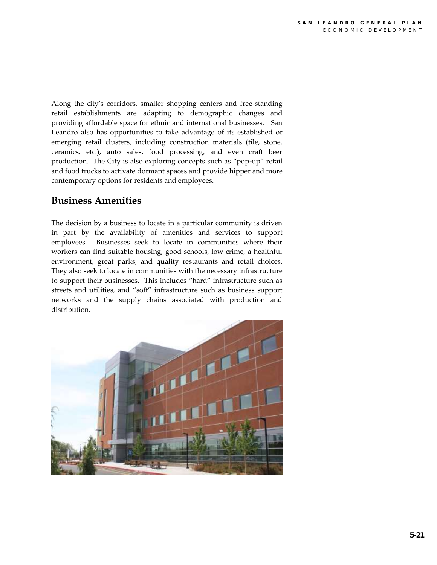Along the city's corridors, smaller shopping centers and free-standing retail establishments are adapting to demographic changes and providing affordable space for ethnic and international businesses. San Leandro also has opportunities to take advantage of its established or emerging retail clusters, including construction materials (tile, stone, ceramics, etc.), auto sales, food processing, and even craft beer production. The City is also exploring concepts such as "pop-up" retail and food trucks to activate dormant spaces and provide hipper and more contemporary options for residents and employees.

## **Business Amenities**

The decision by a business to locate in a particular community is driven in part by the availability of amenities and services to support employees. Businesses seek to locate in communities where their workers can find suitable housing, good schools, low crime, a healthful environment, great parks, and quality restaurants and retail choices. They also seek to locate in communities with the necessary infrastructure to support their businesses. This includes "hard" infrastructure such as streets and utilities, and "soft" infrastructure such as business support networks and the supply chains associated with production and distribution.

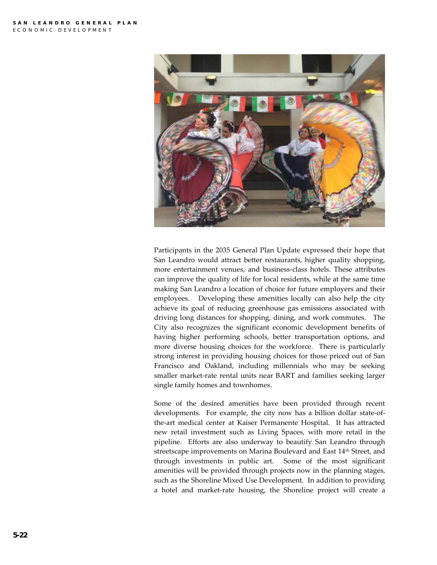

Participants in the 2035 General Plan Update expressed their hope that San Leandro would attract better restaurants, higher quality shopping, more entertainment venues, and business-class hotels. These attributes can improve the quality of life for local residents, while at the same time making San Leandro a location of choice for future employers and their employees. Developing these amenities locally can also help the city achieve its goal of reducing greenhouse gas emissions associated with driving long distances for shopping, dining, and work commutes. The City also recognizes the significant economic development benefits of having higher performing schools, better transportation options, and more diverse housing choices for the workforce. There is particularly strong interest in providing housing choices for those priced out of San Francisco and Oakland, including millennials who may be seeking smaller market-rate rental units near BART and families seeking larger single family homes and townhomes.

Some of the desired amenities have been provided through recent developments. For example, the city now has a billion dollar state-ofthe-art medical center at Kaiser Permanente Hospital. It has attracted new retail investment such as Living Spaces, with more retail in the pipeline. Efforts are also underway to beautify San Leandro through streetscape improvements on Marina Boulevard and East 14<sup>th</sup> Street, and through investments in public art. Some of the most significant amenities will be provided through projects now in the planning stages, such as the Shoreline Mixed Use Development. In addition to providing a hotel and market-rate housing, the Shoreline project will create a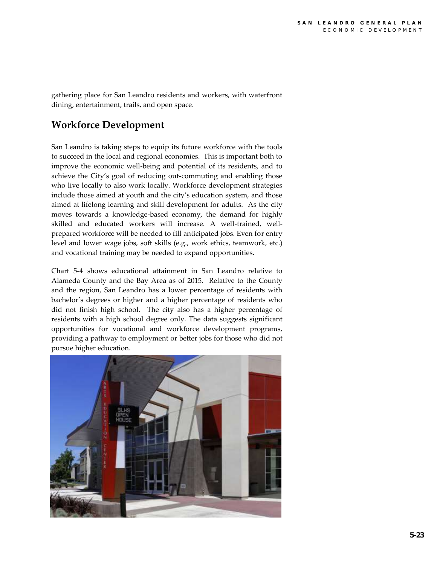gathering place for San Leandro residents and workers, with waterfront dining, entertainment, trails, and open space.

# **Workforce Development**

San Leandro is taking steps to equip its future workforce with the tools to succeed in the local and regional economies. This is important both to improve the economic well-being and potential of its residents, and to achieve the City's goal of reducing out-commuting and enabling those who live locally to also work locally. Workforce development strategies include those aimed at youth and the city's education system, and those aimed at lifelong learning and skill development for adults. As the city moves towards a knowledge-based economy, the demand for highly skilled and educated workers will increase. A well-trained, wellprepared workforce will be needed to fill anticipated jobs. Even for entry level and lower wage jobs, soft skills (e.g., work ethics, teamwork, etc.) and vocational training may be needed to expand opportunities.

Chart 5-4 shows educational attainment in San Leandro relative to Alameda County and the Bay Area as of 2015. Relative to the County and the region, San Leandro has a lower percentage of residents with bachelor's degrees or higher and a higher percentage of residents who did not finish high school. The city also has a higher percentage of residents with a high school degree only. The data suggests significant opportunities for vocational and workforce development programs, providing a pathway to employment or better jobs for those who did not pursue higher education.

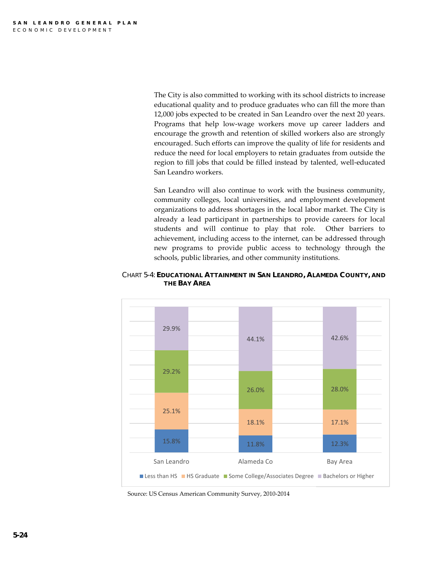The City is also committed to working with its school districts to increase educational quality and to produce graduates who can fill the more than 12,000 jobs expected to be created in San Leandro over the next 20 years. Programs that help low-wage workers move up career ladders and encourage the growth and retention of skilled workers also are strongly encouraged. Such efforts can improve the quality of life for residents and reduce the need for local employers to retain graduates from outside the region to fill jobs that could be filled instead by talented, well-educated San Leandro workers.

San Leandro will also continue to work with the business community, community colleges, local universities, and employment development organizations to address shortages in the local labor market. The City is already a lead participant in partnerships to provide careers for local students and will continue to play that role. Other barriers to achievement, including access to the internet, can be addressed through new programs to provide public access to technology through the schools, public libraries, and other community institutions.



CHART 5-4: **EDUCATIONAL ATTAINMENT IN SAN LEANDRO, ALAMEDA COUNTY, AND THE BAY AREA**

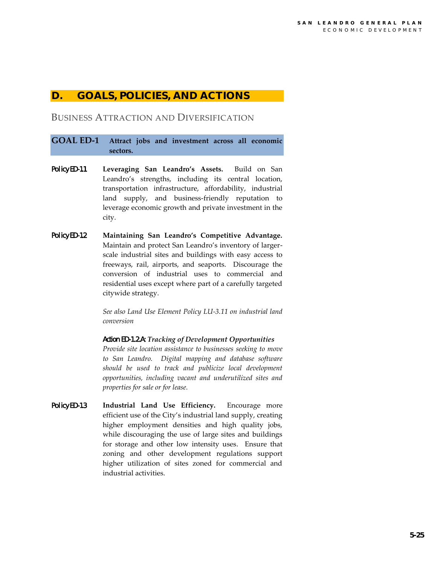## **D. GOALS, POLICIES, AND ACTIONS**

## BUSINESS ATTRACTION AND DIVERSIFICATION

### **GOAL ED-1 Attract jobs and investment across all economic sectors.**

- Policy ED-1.1**Leveraging San Leandro's Assets.** Build on San Leandro's strengths, including its central location, transportation infrastructure, affordability, industrial land supply, and business-friendly reputation to leverage economic growth and private investment in the city.
- Policy ED-1.2 **Maintaining San Leandro's Competitive Advantage.**  Maintain and protect San Leandro's inventory of largerscale industrial sites and buildings with easy access to freeways, rail, airports, and seaports. Discourage the conversion of industrial uses to commercial and residential uses except where part of a carefully targeted citywide strategy.

*See also Land Use Element Policy LU-3.11 on industrial land conversion*

#### *Action ED-1.2.A: Tracking of Development Opportunities*

*Provide site location assistance to businesses seeking to move to San Leandro. Digital mapping and database software should be used to track and publicize local development opportunities, including vacant and underutilized sites and properties for sale or for lease.* 

Policy ED-1.3 **Industrial Land Use Efficiency.** Encourage more efficient use of the City's industrial land supply, creating higher employment densities and high quality jobs, while discouraging the use of large sites and buildings for storage and other low intensity uses. Ensure that zoning and other development regulations support higher utilization of sites zoned for commercial and industrial activities.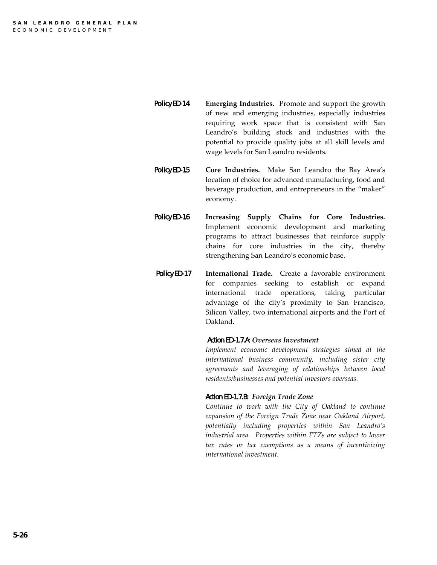- Policy ED-1.4 **Emerging Industries.** Promote and support the growth of new and emerging industries, especially industries requiring work space that is consistent with San Leandro's building stock and industries with the potential to provide quality jobs at all skill levels and wage levels for San Leandro residents.
- Policy ED-1.5 **Core Industries.** Make San Leandro the Bay Area's location of choice for advanced manufacturing, food and beverage production, and entrepreneurs in the "maker" economy.
- Policy ED-1.6 **Increasing Supply Chains for Core Industries.**  Implement economic development and marketing programs to attract businesses that reinforce supply chains for core industries in the city, thereby strengthening San Leandro's economic base.
	- Policy ED-1.7 **International Trade.** Create a favorable environment for companies seeking to establish or expand international trade operations, taking particular advantage of the city's proximity to San Francisco, Silicon Valley, two international airports and the Port of Oakland.

#### *Action ED-1.7.A: Overseas Investment*

*Implement economic development strategies aimed at the international business community, including sister city agreements and leveraging of relationships between local residents/businesses and potential investors overseas.*

#### *Action ED-1.7.B: Foreign Trade Zone*

*Continue to work with the City of Oakland to continue expansion of the Foreign Trade Zone near Oakland Airport, potentially including properties within San Leandro's industrial area. Properties within FTZs are subject to lower tax rates or tax exemptions as a means of incentivizing international investment.*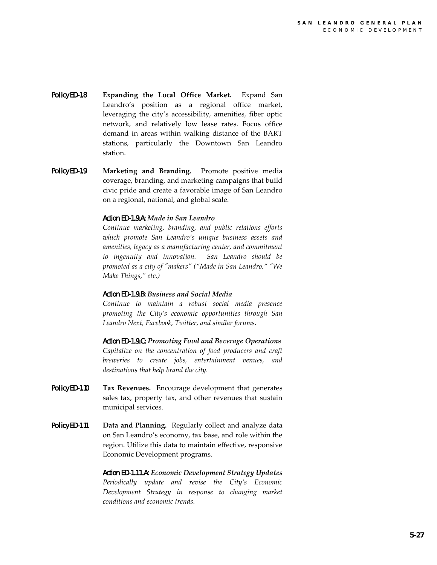- Policy ED-1.8 **Expanding the Local Office Market.** Expand San Leandro's position as a regional office market, leveraging the city's accessibility, amenities, fiber optic network, and relatively low lease rates. Focus office demand in areas within walking distance of the BART stations, particularly the Downtown San Leandro station.
- Policy ED-1.9 **Marketing and Branding.** Promote positive media coverage, branding, and marketing campaigns that build civic pride and create a favorable image of San Leandro on a regional, national, and global scale.

#### *Action ED-1.9.A: Made in San Leandro*

*Continue marketing, branding, and public relations efforts which promote San Leandro's unique business assets and amenities, legacy as a manufacturing center, and commitment to ingenuity and innovation. San Leandro should be promoted as a city of "makers" ("Made in San Leandro," "We Make Things," etc.)*

#### *Action ED-1.9.B: Business and Social Media*

*Continue to maintain a robust social media presence promoting the City's economic opportunities through San Leandro Next, Facebook, Twitter, and similar forums.*

*Action ED-1.9.C: Promoting Food and Beverage Operations Capitalize on the concentration of food producers and craft breweries to create jobs, entertainment venues, and destinations that help brand the city.*

- Policy ED-1.10 **Tax Revenues.** Encourage development that generates sales tax, property tax, and other revenues that sustain municipal services.
- Policy ED-1.11 **Data and Planning.** Regularly collect and analyze data on San Leandro's economy, tax base, and role within the region. Utilize this data to maintain effective, responsive Economic Development programs.

*Action ED-1.11.A: Economic Development Strategy Updates Periodically update and revise the City's Economic Development Strategy in response to changing market conditions and economic trends.*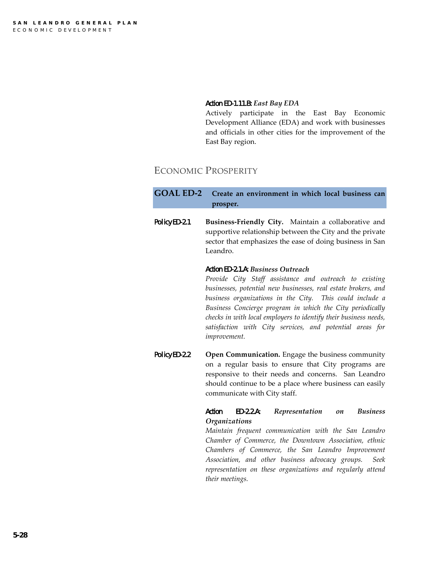#### *Action ED-1.11.B: East Bay EDA*

Actively participate in the East Bay Economic Development Alliance (EDA) and work with businesses and officials in other cities for the improvement of the East Bay region.

## ECONOMIC PROSPERITY

## **GOAL ED-2 Create an environment in which local business can prosper.**

Policy ED-2.1 **Business-Friendly City.** Maintain a collaborative and supportive relationship between the City and the private sector that emphasizes the ease of doing business in San Leandro.

#### *Action ED-2.1.A: Business Outreach*

*Provide City Staff assistance and outreach to existing businesses, potential new businesses, real estate brokers, and business organizations in the City. This could include a Business Concierge program in which the City periodically checks in with local employers to identify their business needs, satisfaction with City services, and potential areas for improvement.*

Policy ED-2.2 **Open Communication.** Engage the business community on a regular basis to ensure that City programs are responsive to their needs and concerns. San Leandro should continue to be a place where business can easily communicate with City staff.

#### *Action ED-2.2.A: Representation on Business Organizations*

*Maintain frequent communication with the San Leandro Chamber of Commerce, the Downtown Association, ethnic Chambers of Commerce, the San Leandro Improvement Association, and other business advocacy groups. Seek representation on these organizations and regularly attend their meetings.*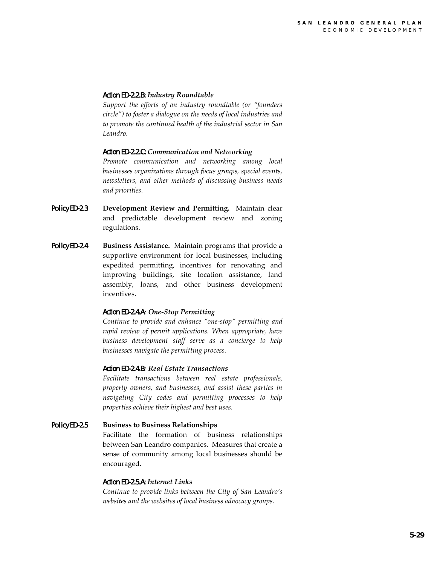#### *Action ED-2.2.B: Industry Roundtable*

*Support the efforts of an industry roundtable (or "founders circle") to foster a dialogue on the needs of local industries and to promote the continued health of the industrial sector in San Leandro.*

#### *Action ED-2.2.C: Communication and Networking*

*Promote communication and networking among local businesses organizations through focus groups, special events, newsletters, and other methods of discussing business needs and priorities.*

- Policy ED-2.3 **Development Review and Permitting.** Maintain clear and predictable development review and zoning regulations.
- Policy ED-2.4 **Business Assistance.** Maintain programs that provide a supportive environment for local businesses, including expedited permitting, incentives for renovating and improving buildings, site location assistance, land assembly, loans, and other business development incentives.

#### *Action ED-2.4.A: One-Stop Permitting*

*Continue to provide and enhance "one-stop" permitting and rapid review of permit applications. When appropriate, have business development staff serve as a concierge to help businesses navigate the permitting process.* 

#### *Action ED-2.4.B: Real Estate Transactions*

*Facilitate transactions between real estate professionals, property owners, and businesses, and assist these parties in navigating City codes and permitting processes to help properties achieve their highest and best uses.* 

#### Policy ED-2.5 **Business to Business Relationships**

Facilitate the formation of business relationships between San Leandro companies. Measures that create a sense of community among local businesses should be encouraged.

#### *Action ED-2.5.A: Internet Links*

*Continue to provide links between the City of San Leandro's websites and the websites of local business advocacy groups.*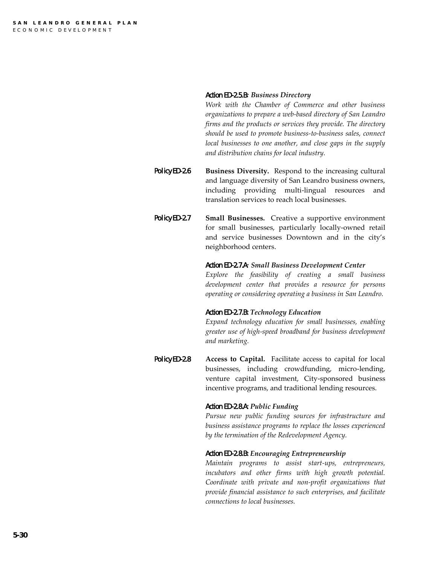#### *Action ED-2.5.B: Business Directory*

*Work with the Chamber of Commerce and other business organizations to prepare a web-based directory of San Leandro firms and the products or services they provide. The directory should be used to promote business-to-business sales, connect local businesses to one another, and close gaps in the supply and distribution chains for local industry.*

- Policy ED-2.6 **Business Diversity.** Respond to the increasing cultural and language diversity of San Leandro business owners, including providing multi-lingual resources and translation services to reach local businesses.
- Policy ED-2.7 **Small Businesses.** Creative a supportive environment for small businesses, particularly locally-owned retail and service businesses Downtown and in the city's neighborhood centers.

#### *Action ED-2.7.A: Small Business Development Center*

*Explore the feasibility of creating a small business development center that provides a resource for persons operating or considering operating a business in San Leandro.*

#### *Action ED-2.7.B: Technology Education*

*Expand technology education for small businesses, enabling greater use of high-speed broadband for business development and marketing.* 

Policy ED-2.8 **Access to Capital.** Facilitate access to capital for local businesses, including crowdfunding, micro-lending, venture capital investment, City-sponsored business incentive programs, and traditional lending resources.

#### *Action ED-2.8.A: Public Funding*

*Pursue new public funding sources for infrastructure and business assistance programs to replace the losses experienced by the termination of the Redevelopment Agency.* 

#### *Action ED-2.8.B: Encouraging Entrepreneurship*

*Maintain programs to assist start-ups, entrepreneurs, incubators and other firms with high growth potential. Coordinate with private and non-profit organizations that provide financial assistance to such enterprises, and facilitate connections to local businesses.*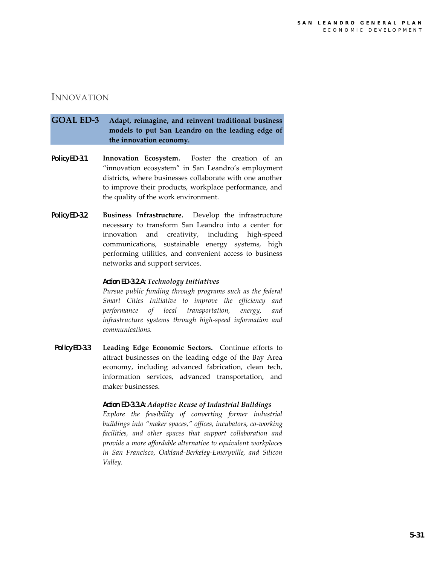## INNOVATION

## **GOAL ED-3 Adapt, reimagine, and reinvent traditional business models to put San Leandro on the leading edge of the innovation economy.**

- Policy ED-3.1 **Innovation Ecosystem.** Foster the creation of an "innovation ecosystem" in San Leandro's employment districts, where businesses collaborate with one another to improve their products, workplace performance, and the quality of the work environment.
- Policy ED-3.2 **Business Infrastructure.** Develop the infrastructure necessary to transform San Leandro into a center for innovation and creativity, including high-speed communications, sustainable energy systems, high performing utilities, and convenient access to business networks and support services.

#### *Action ED-3.2.A: Technology Initiatives*

*Pursue public funding through programs such as the federal Smart Cities Initiative to improve the efficiency and performance of local transportation, energy, and infrastructure systems through high-speed information and communications.*

Policy ED-3.3 **Leading Edge Economic Sectors.** Continue efforts to attract businesses on the leading edge of the Bay Area economy, including advanced fabrication, clean tech, information services, advanced transportation, and maker businesses.

#### *Action ED-3.3.A: Adaptive Reuse of Industrial Buildings*

*Explore the feasibility of converting former industrial buildings into "maker spaces," offices, incubators, co-working facilities, and other spaces that support collaboration and provide a more affordable alternative to equivalent workplaces in San Francisco, Oakland-Berkeley-Emeryville, and Silicon Valley.*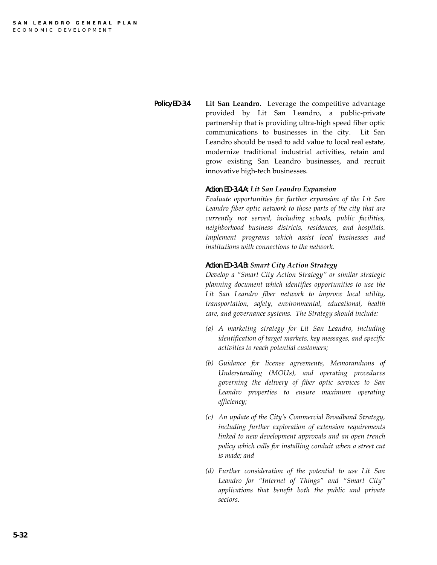Policy ED-3.4 **Lit San Leandro.** Leverage the competitive advantage provided by Lit San Leandro, a public-private partnership that is providing ultra-high speed fiber optic communications to businesses in the city. Lit San Leandro should be used to add value to local real estate, modernize traditional industrial activities, retain and grow existing San Leandro businesses, and recruit innovative high-tech businesses.

#### *Action ED-3.4.A: Lit San Leandro Expansion*

*Evaluate opportunities for further expansion of the Lit San Leandro fiber optic network to those parts of the city that are currently not served, including schools, public facilities, neighborhood business districts, residences, and hospitals. Implement programs which assist local businesses and institutions with connections to the network.*

#### *Action ED-3.4.B: Smart City Action Strategy*

*Develop a "Smart City Action Strategy" or similar strategic planning document which identifies opportunities to use the Lit San Leandro fiber network to improve local utility, transportation, safety, environmental, educational, health care, and governance systems. The Strategy should include:* 

- *(a) A marketing strategy for Lit San Leandro, including identification of target markets, key messages, and specific activities to reach potential customers;*
- *(b) Guidance for license agreements, Memorandums of Understanding (MOUs), and operating procedures governing the delivery of fiber optic services to San Leandro properties to ensure maximum operating efficiency;*
- *(c) An update of the City's Commercial Broadband Strategy, including further exploration of extension requirements linked to new development approvals and an open trench policy which calls for installing conduit when a street cut is made; and*
- *(d) Further consideration of the potential to use Lit San Leandro for "Internet of Things" and "Smart City" applications that benefit both the public and private sectors.*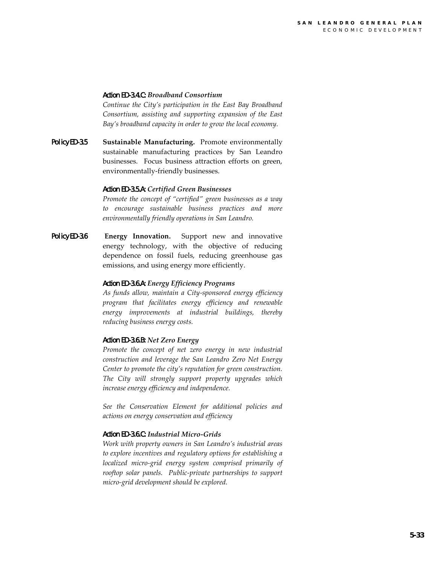#### *Action ED-3.4.C: Broadband Consortium*

*Continue the City's participation in the East Bay Broadband Consortium, assisting and supporting expansion of the East Bay's broadband capacity in order to grow the local economy.*

Policy ED-3.5 **Sustainable Manufacturing.** Promote environmentally sustainable manufacturing practices by San Leandro businesses. Focus business attraction efforts on green, environmentally-friendly businesses.

#### *Action ED-3.5.A: Certified Green Businesses*

*Promote the concept of "certified" green businesses as a way to encourage sustainable business practices and more environmentally friendly operations in San Leandro.*

Policy ED-3.6 **Energy Innovation.** Support new and innovative energy technology, with the objective of reducing dependence on fossil fuels, reducing greenhouse gas emissions, and using energy more efficiently.

#### *Action ED-3.6.A: Energy Efficiency Programs*

*As funds allow, maintain a City-sponsored energy efficiency program that facilitates energy efficiency and renewable energy improvements at industrial buildings, thereby reducing business energy costs.* 

#### *Action ED-3.6.B: Net Zero Energy*

*Promote the concept of net zero energy in new industrial construction and leverage the San Leandro Zero Net Energy Center to promote the city's reputation for green construction. The City will strongly support property upgrades which increase energy efficiency and independence.* 

*See the Conservation Element for additional policies and actions on energy conservation and efficiency*

#### *Action ED-3.6.C: Industrial Micro-Grids*

*Work with property owners in San Leandro's industrial areas to explore incentives and regulatory options for establishing a localized micro-grid energy system comprised primarily of rooftop solar panels. Public-private partnerships to support micro-grid development should be explored.*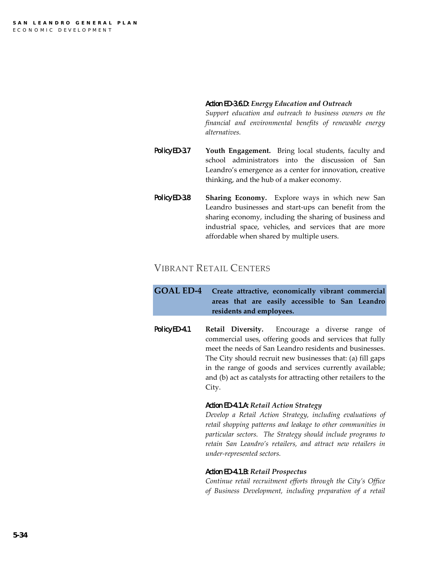#### *Action ED-3.6.D: Energy Education and Outreach*

*Support education and outreach to business owners on the financial and environmental benefits of renewable energy alternatives.*

- Policy ED-3.7 **Youth Engagement.** Bring local students, faculty and school administrators into the discussion of San Leandro's emergence as a center for innovation, creative thinking, and the hub of a maker economy.
- Policy ED-3.8 **Sharing Economy.** Explore ways in which new San Leandro businesses and start-ups can benefit from the sharing economy, including the sharing of business and industrial space, vehicles, and services that are more affordable when shared by multiple users.

## VIBRANT RETAIL CENTERS

**GOAL ED-4 Create attractive, economically vibrant commercial areas that are easily accessible to San Leandro residents and employees.**

Policy ED-4.1 **Retail Diversity.** Encourage a diverse range of commercial uses, offering goods and services that fully meet the needs of San Leandro residents and businesses. The City should recruit new businesses that: (a) fill gaps in the range of goods and services currently available; and (b) act as catalysts for attracting other retailers to the City.

#### *Action ED-4.1.A: Retail Action Strategy*

*Develop a Retail Action Strategy, including evaluations of retail shopping patterns and leakage to other communities in particular sectors. The Strategy should include programs to retain San Leandro's retailers, and attract new retailers in under-represented sectors.* 

#### *Action ED-4.1.B: Retail Prospectus*

*Continue retail recruitment efforts through the City's Office of Business Development, including preparation of a retail*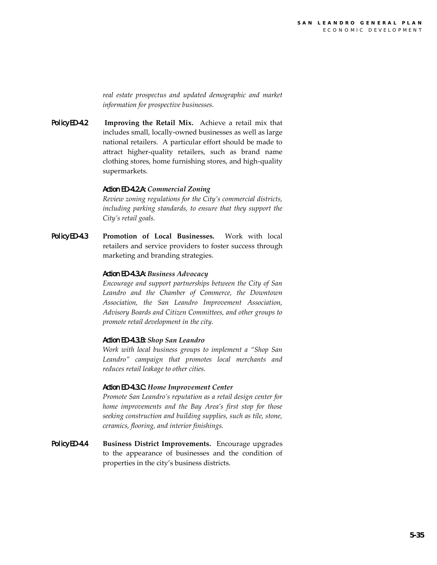*real estate prospectus and updated demographic and market information for prospective businesses.*

Policy ED-4.2 **Improving the Retail Mix.** Achieve a retail mix that includes small, locally-owned businesses as well as large national retailers. A particular effort should be made to attract higher-quality retailers, such as brand name clothing stores, home furnishing stores, and high-quality supermarkets.

#### *Action ED-4.2.A: Commercial Zoning*

*Review zoning regulations for the City's commercial districts, including parking standards, to ensure that they support the City's retail goals.* 

Policy ED-4.3 **Promotion of Local Businesses.** Work with local retailers and service providers to foster success through marketing and branding strategies.

#### *Action ED-4.3.A: Business Advocacy*

*Encourage and support partnerships between the City of San Leandro and the Chamber of Commerce, the Downtown Association, the San Leandro Improvement Association, Advisory Boards and Citizen Committees, and other groups to promote retail development in the city.*

#### *Action ED-4.3.B: Shop San Leandro*

*Work with local business groups to implement a "Shop San Leandro" campaign that promotes local merchants and reduces retail leakage to other cities.*

#### *Action ED-4.3.C: Home Improvement Center*

*Promote San Leandro's reputation as a retail design center for home improvements and the Bay Area's first stop for those seeking construction and building supplies, such as tile, stone, ceramics, flooring, and interior finishings.*

Policy ED-4.4 **Business District Improvements.** Encourage upgrades to the appearance of businesses and the condition of properties in the city's business districts.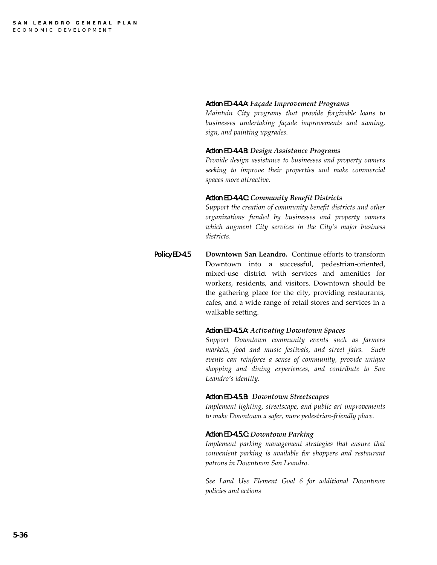#### *Action ED-4.4.A: Façade Improvement Programs*

*Maintain City programs that provide forgivable loans to businesses undertaking façade improvements and awning, sign, and painting upgrades.* 

#### *Action ED-4.4.B: Design Assistance Programs*

*Provide design assistance to businesses and property owners seeking to improve their properties and make commercial spaces more attractive.*

#### *Action ED-4.4.C: Community Benefit Districts*

*Support the creation of community benefit districts and other organizations funded by businesses and property owners which augment City services in the City's major business districts*.

Policy ED-4.5 **Downtown San Leandro.** Continue efforts to transform Downtown into a successful, pedestrian-oriented, mixed-use district with services and amenities for workers, residents, and visitors. Downtown should be the gathering place for the city, providing restaurants, cafes, and a wide range of retail stores and services in a walkable setting.

#### *Action ED-4.5.A: Activating Downtown Spaces*

*Support Downtown community events such as farmers markets, food and music festivals, and street fairs. Such events can reinforce a sense of community, provide unique shopping and dining experiences, and contribute to San Leandro's identity.*

#### *Action ED-4.5.B: Downtown Streetscapes*

*Implement lighting, streetscape, and public art improvements to make Downtown a safer, more pedestrian-friendly place.*

#### *Action ED-4.5.C: Downtown Parking*

*Implement parking management strategies that ensure that convenient parking is available for shoppers and restaurant patrons in Downtown San Leandro.*

*See Land Use Element Goal 6 for additional Downtown policies and actions*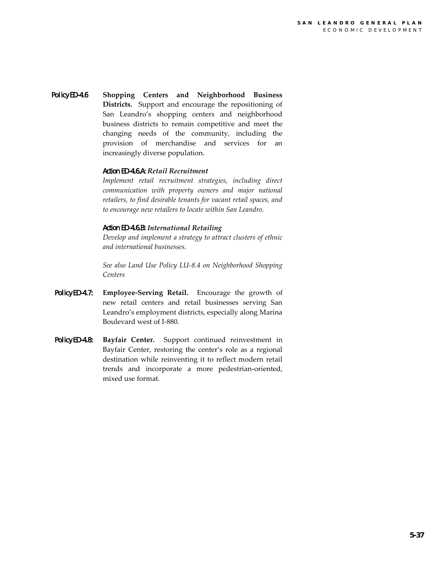Policy ED-4.6 **Shopping Centers and Neighborhood Business Districts.** Support and encourage the repositioning of San Leandro's shopping centers and neighborhood business districts to remain competitive and meet the changing needs of the community, including the provision of merchandise and services for an increasingly diverse population.

#### *Action ED-4.6.A: Retail Recruitment*

*Implement retail recruitment strategies, including direct communication with property owners and major national retailers, to find desirable tenants for vacant retail spaces, and to encourage new retailers to locate within San Leandro.*

#### *Action ED-4.6.B: International Retailing*

*Develop and implement a strategy to attract clusters of ethnic and international businesses.*

*See also Land Use Policy LU-8.4 on Neighborhood Shopping Centers* 

- Policy ED-4.7: **Employee-Serving Retail.** Encourage the growth of new retail centers and retail businesses serving San Leandro's employment districts, especially along Marina Boulevard west of I-880.
- Policy ED-4.8: **Bayfair Center.** Support continued reinvestment in Bayfair Center, restoring the center's role as a regional destination while reinventing it to reflect modern retail trends and incorporate a more pedestrian-oriented, mixed use format.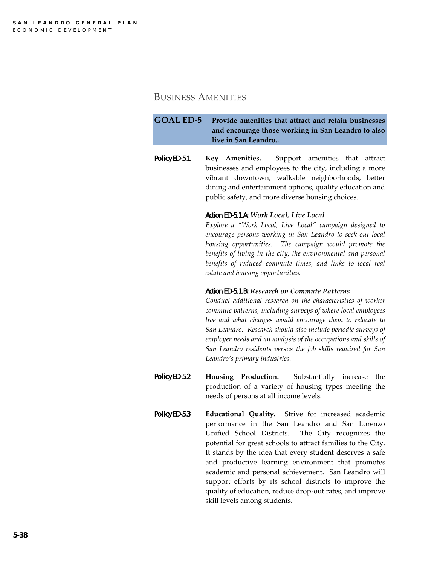## BUSINESS AMENITIES

**GOAL ED-5 Provide amenities that attract and retain businesses and encourage those working in San Leandro to also live in San Leandro.***.*

Policy ED-5.1 **Key Amenities.** Support amenities that attract businesses and employees to the city, including a more vibrant downtown, walkable neighborhoods, better dining and entertainment options, quality education and public safety, and more diverse housing choices.

#### *Action ED-5.1.A: Work Local, Live Local*

*Explore a "Work Local, Live Local" campaign designed to encourage persons working in San Leandro to seek out local housing opportunities. The campaign would promote the benefits of living in the city, the environmental and personal benefits of reduced commute times, and links to local real estate and housing opportunities.* 

#### *Action ED-5.1.B: Research on Commute Patterns*

*Conduct additional research on the characteristics of worker commute patterns, including surveys of where local employees live and what changes would encourage them to relocate to San Leandro. Research should also include periodic surveys of employer needs and an analysis of the occupations and skills of San Leandro residents versus the job skills required for San Leandro's primary industries.* 

- Policy ED-5.2 **Housing Production.** Substantially increase the production of a variety of housing types meeting the needs of persons at all income levels.
- Policy ED-5.3 **Educational Quality.** Strive for increased academic performance in the San Leandro and San Lorenzo Unified School Districts. The City recognizes the potential for great schools to attract families to the City. It stands by the idea that every student deserves a safe and productive learning environment that promotes academic and personal achievement. San Leandro will support efforts by its school districts to improve the quality of education, reduce drop-out rates, and improve skill levels among students.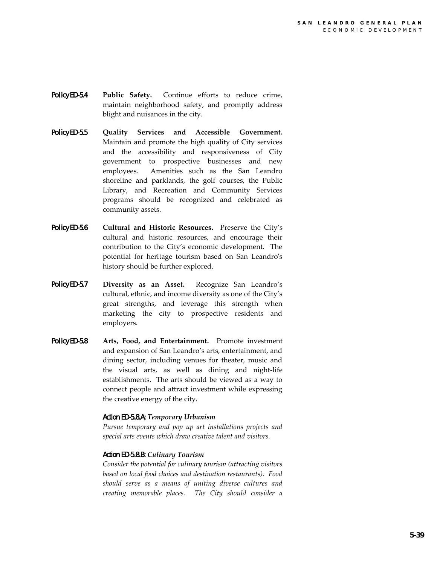- Policy ED-5.4 **Public Safety.** Continue efforts to reduce crime, maintain neighborhood safety, and promptly address blight and nuisances in the city.
- Policy ED-5.5 **Quality Services and Accessible Government.**  Maintain and promote the high quality of City services and the accessibility and responsiveness of City government to prospective businesses and new employees. Amenities such as the San Leandro shoreline and parklands, the golf courses, the Public Library, and Recreation and Community Services programs should be recognized and celebrated as community assets.
- Policy ED-5.6 **Cultural and Historic Resources.** Preserve the City's cultural and historic resources, and encourage their contribution to the City's economic development. The potential for heritage tourism based on San Leandro's history should be further explored.
- Policy ED-5.7 **Diversity as an Asset.** Recognize San Leandro's cultural, ethnic, and income diversity as one of the City's great strengths, and leverage this strength when marketing the city to prospective residents and employers.
- Policy ED-5.8 **Arts, Food, and Entertainment.** Promote investment and expansion of San Leandro's arts, entertainment, and dining sector, including venues for theater, music and the visual arts, as well as dining and night-life establishments. The arts should be viewed as a way to connect people and attract investment while expressing the creative energy of the city.

#### *Action ED-5.8.A: Temporary Urbanism*

*Pursue temporary and pop up art installations projects and special arts events which draw creative talent and visitors.* 

#### *Action ED-5.8.B: Culinary Tourism*

*Consider the potential for culinary tourism (attracting visitors based on local food choices and destination restaurants). Food should serve as a means of uniting diverse cultures and creating memorable places. The City should consider a*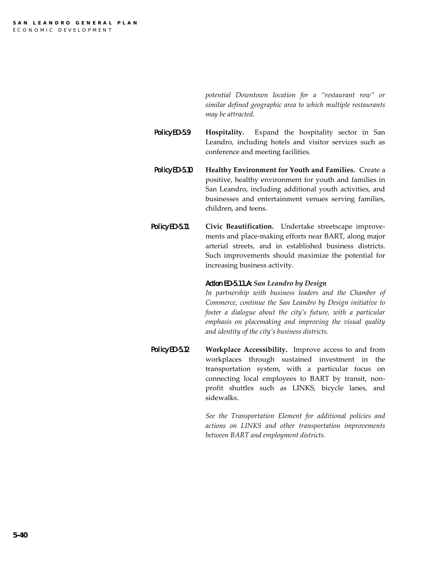*potential Downtown location for a "restaurant row" or similar defined geographic area to which multiple restaurants may be attracted.* 

Policy ED-5.9 **Hospitality.** Expand the hospitality sector in San Leandro, including hotels and visitor services such as conference and meeting facilities.

- Policy ED-5.10 **Healthy Environment for Youth and Families.** Create a positive, healthy environment for youth and families in San Leandro, including additional youth activities, and businesses and entertainment venues serving families, children, and teens.
- Policy ED-5.11 **Civic Beautification.** Undertake streetscape improvements and place-making efforts near BART, along major arterial streets, and in established business districts. Such improvements should maximize the potential for increasing business activity.

#### *Action ED-5.11.A: San Leandro by Design*

*In partnership with business leaders and the Chamber of Commerce, continue the San Leandro by Design initiative to foster a dialogue about the city's future, with a particular emphasis on placemaking and improving the visual quality and identity of the city's business districts.*

Policy ED-5.12 **Workplace Accessibility.** Improve access to and from workplaces through sustained investment in the transportation system, with a particular focus on connecting local employees to BART by transit, nonprofit shuttles such as LINKS, bicycle lanes, and sidewalks.

> *See the Transportation Element for additional policies and actions on LINKS and other transportation improvements between BART and employment districts.*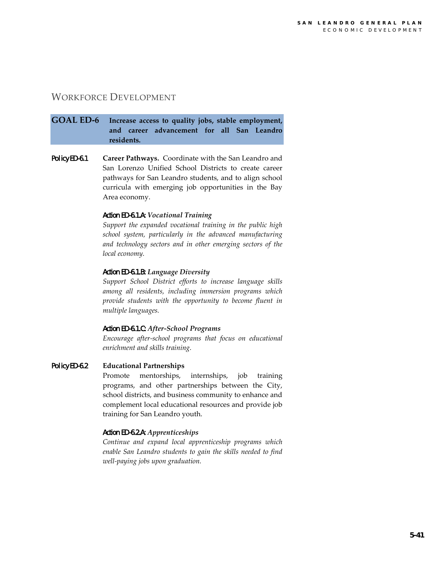## WORKFORCE DEVELOPMENT

## **GOAL ED-6 Increase access to quality jobs, stable employment, and career advancement for all San Leandro residents.**

Policy ED-6.1 **Career Pathways.** Coordinate with the San Leandro and San Lorenzo Unified School Districts to create career pathways for San Leandro students, and to align school curricula with emerging job opportunities in the Bay Area economy.

#### *Action ED-6.1.A: Vocational Training*

*Support the expanded vocational training in the public high school system, particularly in the advanced manufacturing and technology sectors and in other emerging sectors of the local economy.* 

#### *Action ED-6.1.B: Language Diversity*

*Support School District efforts to increase language skills among all residents, including immersion programs which provide students with the opportunity to become fluent in multiple languages.*

#### *Action ED-6.1.C: After-School Programs*

*Encourage after-school programs that focus on educational enrichment and skills training.* 

#### Policy ED-6.2 **Educational Partnerships**

Promote mentorships, internships, job training programs, and other partnerships between the City, school districts, and business community to enhance and complement local educational resources and provide job training for San Leandro youth.

#### *Action ED-6.2.A: Apprenticeships*

*Continue and expand local apprenticeship programs which enable San Leandro students to gain the skills needed to find well-paying jobs upon graduation.*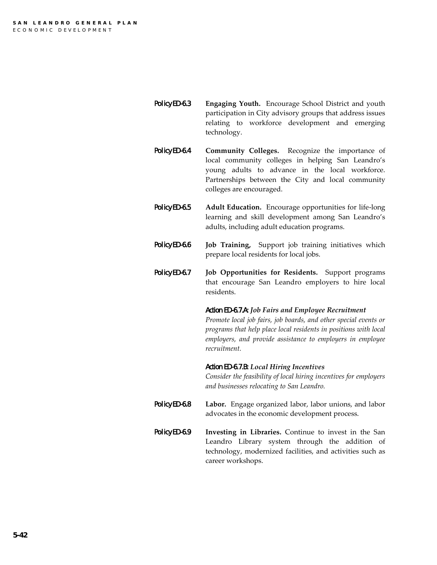- Policy ED-6.3 **Engaging Youth.** Encourage School District and youth participation in City advisory groups that address issues relating to workforce development and emerging technology.
- Policy ED-6.4 **Community Colleges.** Recognize the importance of local community colleges in helping San Leandro's young adults to advance in the local workforce. Partnerships between the City and local community colleges are encouraged.
- Policy ED-6.5 **Adult Education.** Encourage opportunities for life-long learning and skill development among San Leandro's adults, including adult education programs.
- Policy ED-6.6 **Job Training,** Support job training initiatives which prepare local residents for local jobs.
- Policy ED-6.7 **Job Opportunities for Residents.** Support programs that encourage San Leandro employers to hire local residents.

#### *Action ED-6.7.A: Job Fairs and Employee Recruitment*

*Promote local job fairs, job boards, and other special events or programs that help place local residents in positions with local employers, and provide assistance to employers in employee recruitment.*

#### *Action ED-6.7.B: Local Hiring Incentives*

*Consider the feasibility of local hiring incentives for employers and businesses relocating to San Leandro.*

- Policy ED-6.8 **Labor.** Engage organized labor, labor unions, and labor advocates in the economic development process.
- Policy ED-6.9 **Investing in Libraries.** Continue to invest in the San Leandro Library system through the addition of technology, modernized facilities, and activities such as career workshops.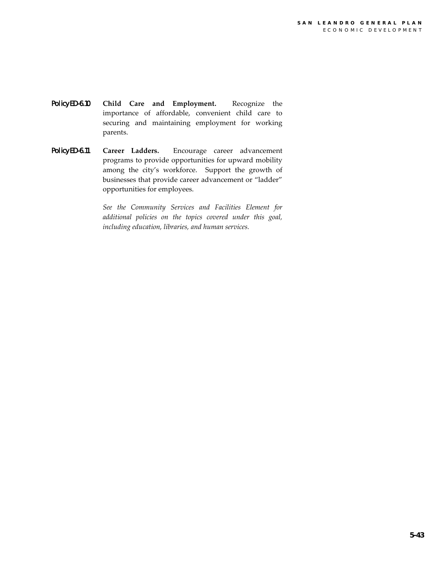- Policy ED-6.10 **Child Care and Employment.** Recognize the importance of affordable, convenient child care to securing and maintaining employment for working parents.
- Policy ED-6.11 **Career Ladders.** Encourage career advancement programs to provide opportunities for upward mobility among the city's workforce. Support the growth of businesses that provide career advancement or "ladder" opportunities for employees.

*See the Community Services and Facilities Element for additional policies on the topics covered under this goal, including education, libraries, and human services.*